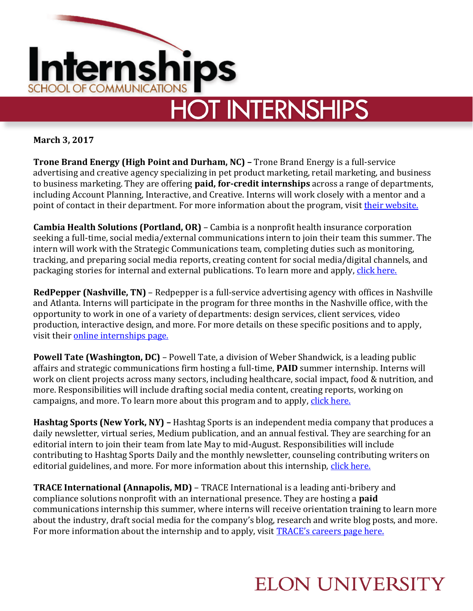

**March 3, 2017**

**Trone Brand Energy (High Point and Durham, NC) –** Trone Brand Energy is a full-service advertising and creative agency specializing in pet product marketing, retail marketing, and business to business marketing. They are offering **paid, for-credit internships** across a range of departments, including Account Planning, Interactive, and Creative. Interns will work closely with a mentor and a point of contact in their department. For more information about the program, visit [their website.](https://www.tronebrandenergy.com/introneship)

**Cambia Health Solutions (Portland, OR)** – Cambia is a nonprofit health insurance corporation seeking a full-time, social media/external communications intern to join their team this summer. The intern will work with the Strategic Communications team, completing duties such as monitoring, tracking, and preparing social media reports, creating content for social media/digital channels, and packaging stories for internal and external publications. To learn more and apply, click here.

**RedPepper (Nashville, TN)** – Redpepper is a full-service advertising agency with offices in Nashville and Atlanta. Interns will participate in the program for three months in the Nashville office, with the opportunity to work in one of a variety of departments: design services, client services, video production, interactive design, and more. For more details on these specific positions and to apply, visit their [online internships page.](http://www.redpepperinterns.com/about-us)

**Powell Tate (Washington, DC)** – Powell Tate, a division of Weber Shandwick, is a leading public affairs and strategic communications firm hosting a full-time, **PAID** summer internship. Interns will work on client projects across many sectors, including healthcare, social impact, food & nutrition, and more. Responsibilities will include drafting social media content, creating reports, working on campaigns, and more. To learn more about this program and to apply, click here.

**Hashtag Sports (New York, NY) –** Hashtag Sports is an independent media company that produces a daily newsletter, virtual series, Medium publication, and an annual festival. They are searching for an editorial intern to join their team from late May to mid-August. Responsibilities will include contributing to Hashtag Sports Daily and the monthly newsletter, counseling contributing writers on editorial guidelines, and more. For more information about this internship, [click here.](https://hashtagsports.com/internships#editorial-intern)

**TRACE International (Annapolis, MD)** – TRACE International is a leading anti-bribery and compliance solutions nonprofit with an international presence. They are hosting a **paid** communications internship this summer, where interns will receive orientation training to learn more about the industry, draft social media for the company's blog, research and write blog posts, and more. For more information about the internship and to apply, visit [TRACE's careers page here.](https://www.traceinternational.org/Careers)

## **ELON UNIVERSITY**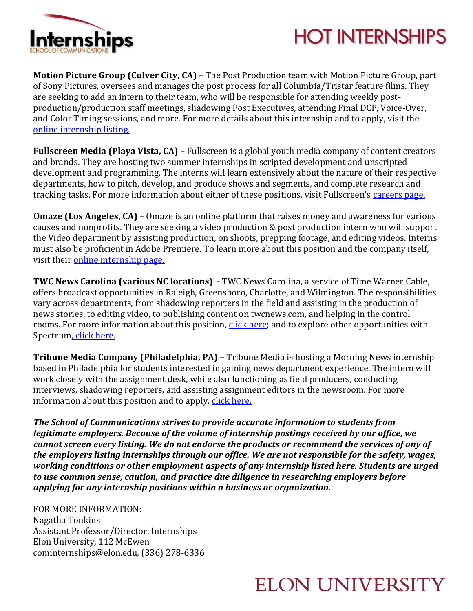

## **HOT INTERNSHIPS**

**Motion Picture Group (Culver City, CA)** – The Post Production team with Motion Picture Group, part of Sony Pictures, oversees and manages the post process for all Columbia/Tristar feature films. They are seeking to add an intern to their team, who will be responsible for attending weekly postproduction/production staff meetings, shadowing Post Executives, attending Final DCP, Voice-Over, and Color Timing sessions, and more. For more details about this internship and to apply, visit the [online internship listing.](https://spe.wd1.myworkdayjobs.com/en-US/Sonypictures/job/-Sony-Pictures---CA---Culver-City-Area--Studios/Post-Production-Intern---Motion-Picture-Group--Summer-2017_JR17-10188)

**Fullscreen Media (Playa Vista, CA)** – Fullscreen is a global youth media company of content creators and brands. They are hosting two summer internships in scripted development and unscripted development and programming. The interns will learn extensively about the nature of their respective departments, how to pitch, develop, and produce shows and segments, and complete research and tracking tasks. For more information about either of these positions, visit Fullscreen's [careers page.](https://jobs.lever.co/fullscreen)

**Omaze (Los Angeles, CA)** – Omaze is an online platform that raises money and awareness for various causes and nonprofits. They are seeking a video production & post production intern who will support the Video department by assisting production, on shoots, prepping footage, and editing videos. Interns must also be proficient in Adobe Premiere. To learn more about this position and the company itself, visit their [online internship page.](https://omaze.bamboohr.com/jobs/view.php?id=18&source=indeed&src=indeed&postedDate=2017-02-22)

**TWC News Carolina (various NC locations)** - TWC News Carolina, a service of Time Warner Cable, offers broadcast opportunities in Raleigh, Greensboro, Charlotte, and Wilmington. The responsibilities vary across departments, from shadowing reporters in the field and assisting in the production of news stories, to editing video, to publishing content on twcnews.com, and helping in the control rooms. For more information about this position, [click here;](https://jobs.spectrum.com/job/-/-/14710/4121348) and to explore other opportunities with Spectru[m, click here.](https://jobs.spectrum.com/)

**Tribune Media Company (Philadelphia, PA)** – Tribune Media is hosting a Morning News internship based in Philadelphia for students interested in gaining news department experience. The intern will work closely with the assignment desk, while also functioning as field producers, conducting interviews, shadowing reporters, and assisting assignment editors in the newsroom. For more information about this position and to apply, [click here.](https://careers3-tribune.icims.com/jobs/45434/morning-news-internship/job?mode=job&iis=Indeed&iisn=Indeed)

*The School of Communications strives to provide accurate information to students from legitimate employers. Because of the volume of internship postings received by our office, we cannot screen every listing. We do not endorse the products or recommend the services of any of the employers listing internships through our office. We are not responsible for the safety, wages, working conditions or other employment aspects of any internship listed here. Students are urged to use common sense, caution, and practice due diligence in researching employers before applying for any internship positions within a business or organization.*

FOR MORE INFORMATION: Nagatha Tonkins Assistant Professor/Director, Internships Elon University, 112 McEwen cominternships@elon.edu, (336) 278-6336

## **ELON UNIVERSITY**